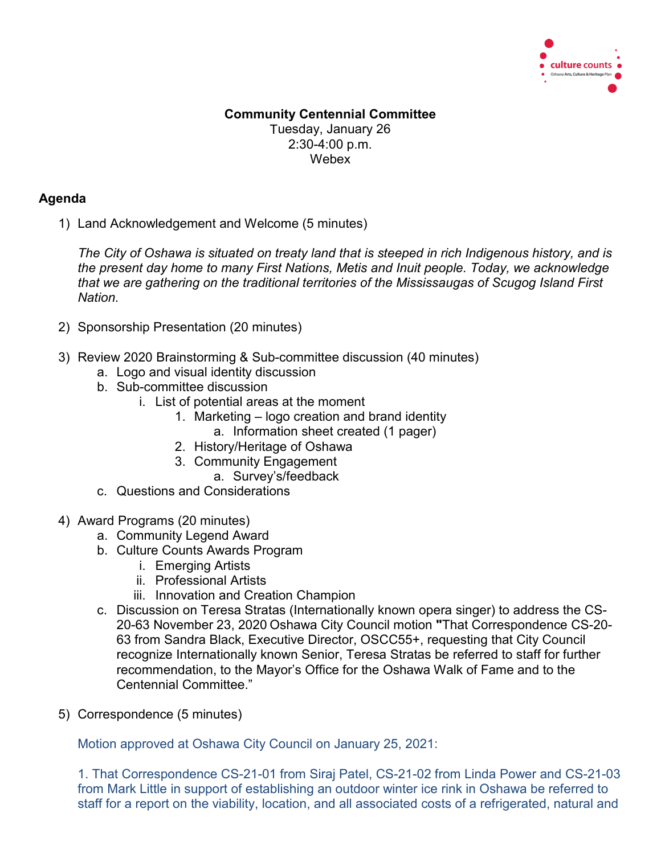

## **Community Centennial Committee** Tuesday, January 26 2:30-4:00 p.m. Webex

## **Agenda**

1) Land Acknowledgement and Welcome (5 minutes)

*The City of Oshawa is situated on treaty land that is steeped in rich Indigenous history, and is the present day home to many First Nations, Metis and Inuit people. Today, we acknowledge that we are gathering on the traditional territories of the Mississaugas of Scugog Island First Nation.*

- 2) Sponsorship Presentation (20 minutes)
- 3) Review 2020 Brainstorming & Sub-committee discussion (40 minutes)
	- a. Logo and visual identity discussion
	- b. Sub-committee discussion
		- i. List of potential areas at the moment
			- 1. Marketing logo creation and brand identity
				- a. Information sheet created (1 pager)
			- 2. History/Heritage of Oshawa
			- 3. Community Engagement
				- a. Survey's/feedback
	- c. Questions and Considerations
- 4) Award Programs (20 minutes)
	- a. Community Legend Award
	- b. Culture Counts Awards Program
		- i. Emerging Artists
		- ii. Professional Artists
		- iii. Innovation and Creation Champion
	- c. Discussion on Teresa Stratas (Internationally known opera singer) to address the CS-20-63 November 23, 2020 Oshawa City Council motion **"**That Correspondence CS-20- 63 from Sandra Black, Executive Director, OSCC55+, requesting that City Council recognize Internationally known Senior, Teresa Stratas be referred to staff for further recommendation, to the Mayor's Office for the Oshawa Walk of Fame and to the Centennial Committee."
- 5) Correspondence (5 minutes)

Motion approved at Oshawa City Council on January 25, 2021:

1. That Correspondence CS-21-01 from Siraj Patel, CS-21-02 from Linda Power and CS-21-03 from Mark Little in support of establishing an outdoor winter ice rink in Oshawa be referred to staff for a report on the viability, location, and all associated costs of a refrigerated, natural and